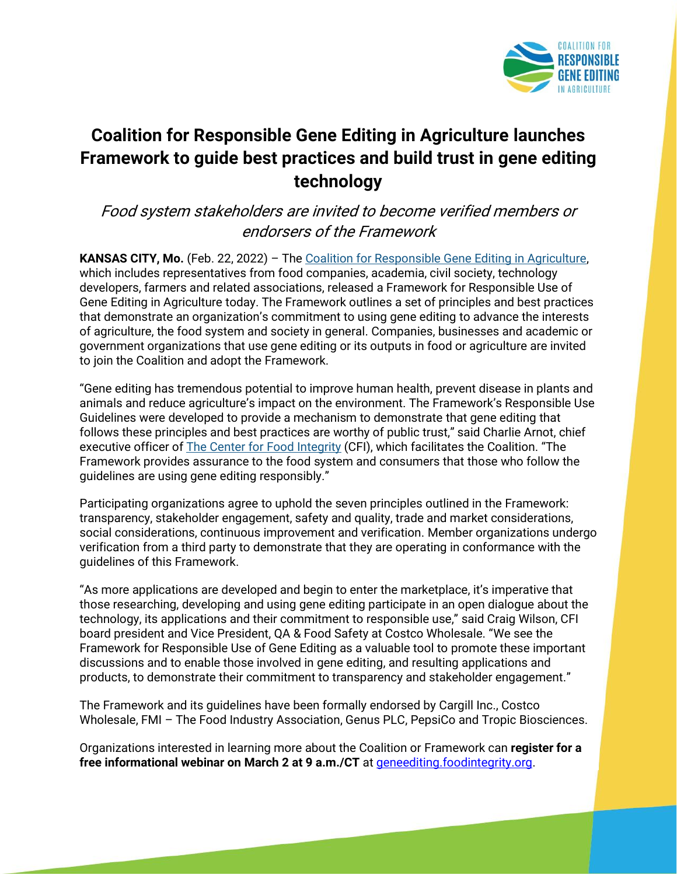

## **Coalition for Responsible Gene Editing in Agriculture launches Framework to guide best practices and build trust in gene editing technology**

## Food system stakeholders are invited to become verified members or endorsers of the Framework

**KANSAS CITY, Mo.** (Feb. 22, 2022) – The [Coalition for Responsible Gene Editing in Agriculture,](https://geneediting.foodintegrity.org/)  which includes representatives from food companies, academia, civil society, technology developers, farmers and related associations, released a Framework for Responsible Use of Gene Editing in Agriculture today. The Framework outlines a set of principles and best practices that demonstrate an organization's commitment to using gene editing to advance the interests of agriculture, the food system and society in general. Companies, businesses and academic or government organizations that use gene editing or its outputs in food or agriculture are invited to join the Coalition and adopt the Framework.

"Gene editing has tremendous potential to improve human health, prevent disease in plants and animals and reduce agriculture's impact on the environment. The Framework's Responsible Use Guidelines were developed to provide a mechanism to demonstrate that gene editing that follows these principles and best practices are worthy of public trust," said Charlie Arnot, chief executive officer of [The Center for Food Integrity](https://foodintegrity.org/) (CFI), which facilitates the Coalition. "The Framework provides assurance to the food system and consumers that those who follow the guidelines are using gene editing responsibly."

Participating organizations agree to uphold the seven principles outlined in the Framework: transparency, stakeholder engagement, safety and quality, trade and market considerations, social considerations, continuous improvement and verification. Member organizations undergo verification from a third party to demonstrate that they are operating in conformance with the guidelines of this Framework.

"As more applications are developed and begin to enter the marketplace, it's imperative that those researching, developing and using gene editing participate in an open dialogue about the technology, its applications and their commitment to responsible use," said Craig Wilson, CFI board president and Vice President, QA & Food Safety at Costco Wholesale. "We see the Framework for Responsible Use of Gene Editing as a valuable tool to promote these important discussions and to enable those involved in gene editing, and resulting applications and products, to demonstrate their commitment to transparency and stakeholder engagement."

The Framework and its guidelines have been formally endorsed by Cargill Inc., Costco Wholesale, FMI – The Food Industry Association, Genus PLC, PepsiCo and Tropic Biosciences.

Organizations interested in learning more about the Coalition or Framework can **register for a free informational webinar on March 2 at 9 a.m./CT** at [geneediting.foodintegrity.org.](https://bit.ly/3rruT4h)